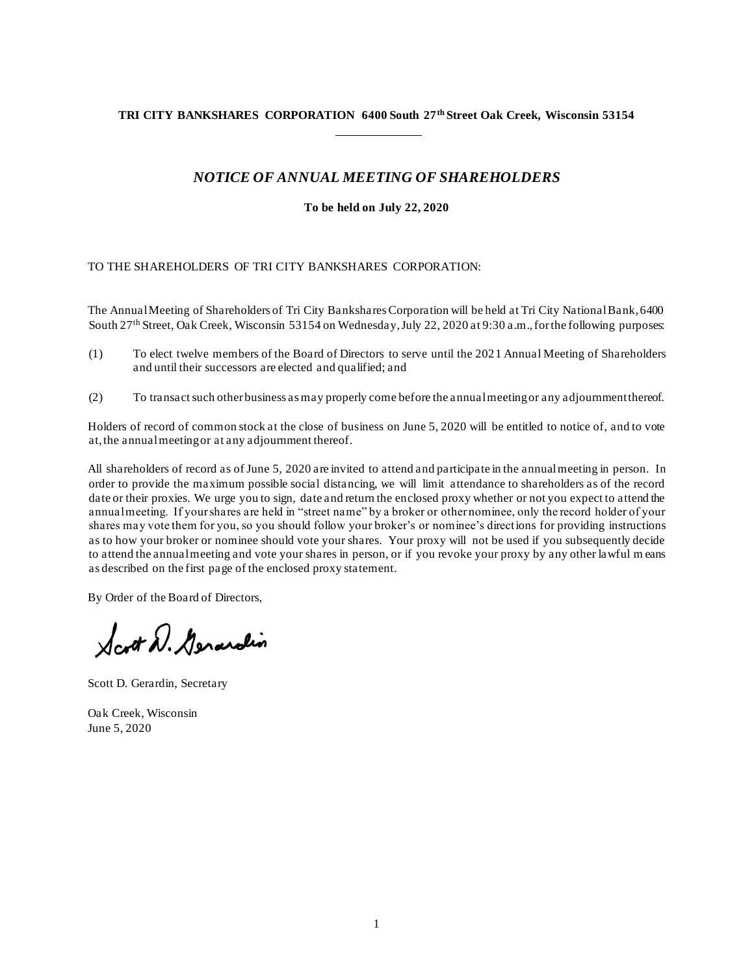# **TRI CITY BANKSHARES CORPORATION 6400 South 27th Street Oak Creek, Wisconsin 53154**

# *NOTICE OF ANNUAL MEETING OF SHAREHOLDERS*

**To be held on July 22, 2020**

# TO THE SHAREHOLDERS OF TRI CITY BANKSHARES CORPORATION:

The Annual Meeting of Shareholders of Tri City Bankshares Corporation will be held at Tri City National Bank, 6400 South 27th Street, Oak Creek, Wisconsin 53154 on Wednesday, July 22, 2020 at 9:30 a.m., for the following purposes:

- (1) To elect twelve members of the Board of Directors to serve until the 2021 Annual Meeting of Shareholders and until their successors are elected and qualified; and
- (2) To transact such other business as may properly come before the annual meeting or any adjournment thereof.

Holders of record of common stock at the close of business on June 5, 2020 will be entitled to notice of, and to vote at, the annual meeting or at any adjournment thereof.

All shareholders of record as of June 5, 2020 are invited to attend and participate in the annual meeting in person. In order to provide the maximum possible social distancing, we will limit attendance to shareholders as of the record date or their proxies. We urge you to sign, date and return the enclosed proxy whether or not you expect to attend the annual meeting. If your shares are held in "street name" by a broker or other nominee, only the record holder of your shares may vote them for you, so you should follow your broker's or nominee's directions for providing instructions as to how your broker or nominee should vote your shares. Your proxy will not be used if you subsequently decide to attend the annual meeting and vote your shares in person, or if you revoke your proxy by any other lawful m eans as described on the first page of the enclosed proxy statement.

By Order of the Board of Directors,

Scott D. Gerardin

Scott D. Gerardin, Secretary

Oak Creek, Wisconsin June 5, 2020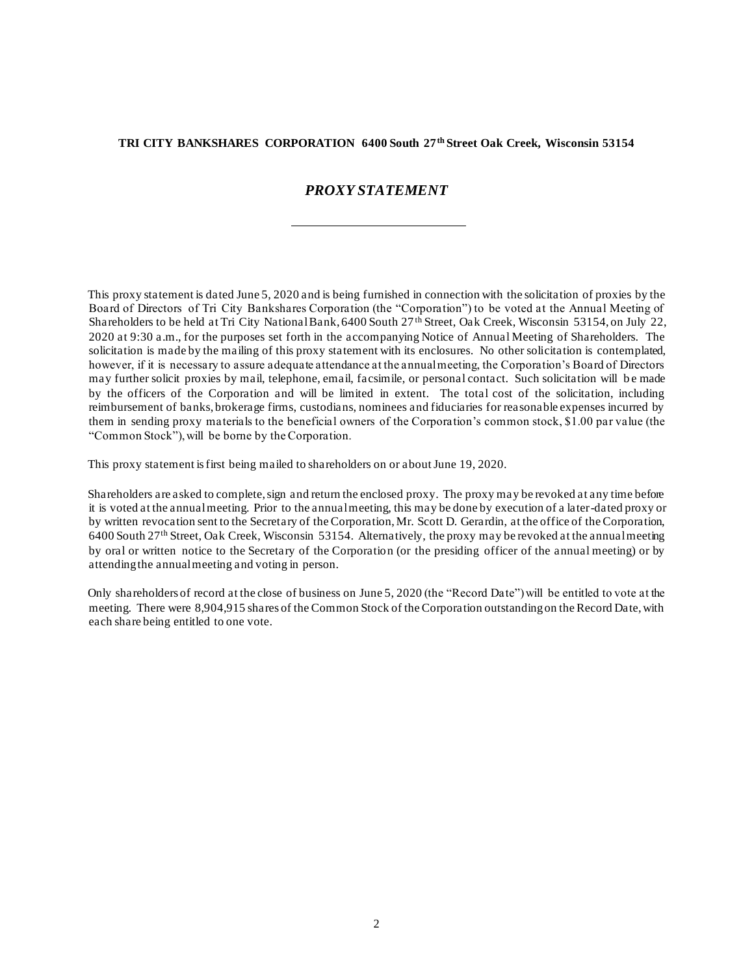# **TRI CITY BANKSHARES CORPORATION 6400 South 27th Street Oak Creek, Wisconsin 53154**

# *PROXY STATEMENT*

This proxy statement is dated June 5, 2020 and is being furnished in connection with the solicitation of proxies by the Board of Directors of Tri City Bankshares Corporation (the "Corporation") to be voted at the Annual Meeting of Shareholders to be held at Tri City National Bank, 6400 South 27th Street, Oak Creek, Wisconsin 53154, on July 22, 2020 at 9:30 a.m., for the purposes set forth in the accompanying Notice of Annual Meeting of Shareholders. The solicitation is made by the mailing of this proxy statement with its enclosures. No other solicitation is contemplated, however, if it is necessary to assure adequate attendance at the annual meeting, the Corporation's Board of Directors may further solicit proxies by mail, telephone, email, facsimile, or personal contact. Such solicitation will be made by the officers of the Corporation and will be limited in extent. The total cost of the solicitation, including reimbursement of banks, brokerage firms, custodians, nominees and fiduciaries for reasonable expenses incurred by them in sending proxy materials to the beneficial owners of the Corporation's common stock, \$1.00 par value (the "Common Stock"), will be borne by the Corporation.

This proxy statement is first being mailed to shareholders on or about June 19, 2020.

Shareholders are asked to complete, sign and return the enclosed proxy. The proxy may be revoked at any time before it is voted at the annual meeting. Prior to the annual meeting, this may be done by execution of a later-dated proxy or by written revocation sent to the Secretary of the Corporation, Mr. Scott D. Gerardin, at the office of the Corporation, 6400 South 27th Street, Oak Creek, Wisconsin 53154. Alternatively, the proxy may be revoked at the annual meeting by oral or written notice to the Secretary of the Corporation (or the presiding officer of the annual meeting) or by attending the annual meeting and voting in person.

Only shareholders of record at the close of business on June 5, 2020 (the "Record Date") will be entitled to vote at the meeting. There were 8,904,915 shares of the Common Stock of the Corporation outstanding on the Record Date, with each share being entitled to one vote.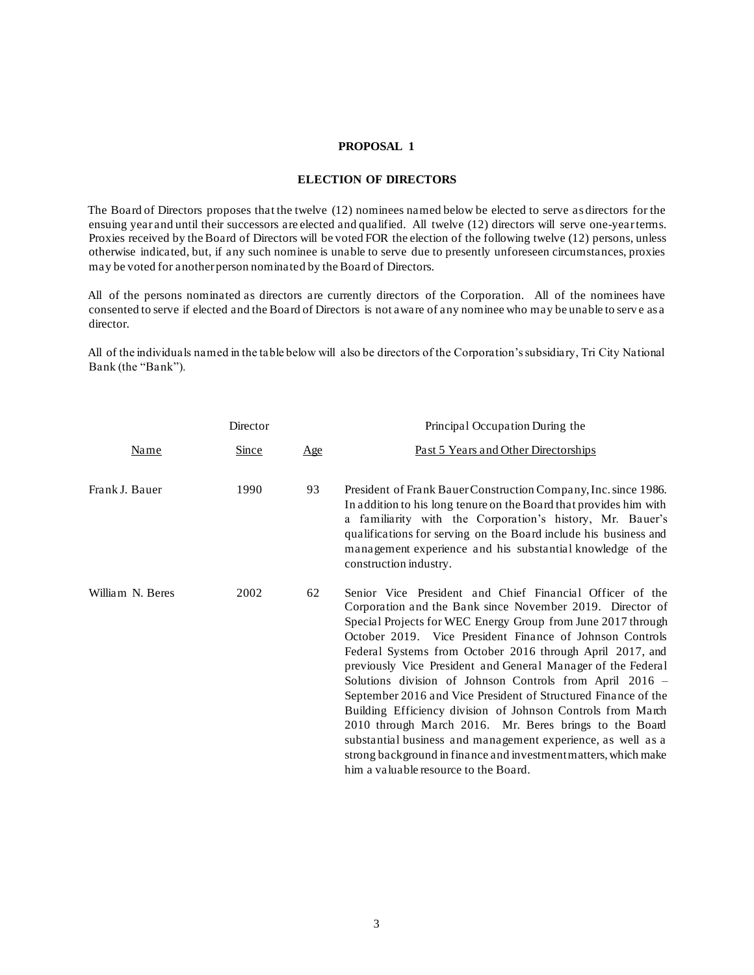#### **PROPOSAL 1**

### **ELECTION OF DIRECTORS**

The Board of Directors proposes that the twelve (12) nominees named below be elected to serve as directors for the ensuing year and until their successors are elected and qualified. All twelve (12) directors will serve one-year terms. Proxies received by the Board of Directors will be voted FOR the election of the following twelve (12) persons, unless otherwise indicated, but, if any such nominee is unable to serve due to presently unforeseen circumstances, proxies may be voted for another person nominated by the Board of Directors.

All of the persons nominated as directors are currently directors of the Corporation. All of the nominees have consented to serve if elected and the Board of Directors is not aware of any nominee who may be unable to serv e as a director.

All of the individuals named in the table below will also be directors of the Corporation's subsidiary, Tri City National Bank (the "Bank").

|                  | Director     |     | Principal Occupation During the                                                                                                                                                                                                                                                                                                                                                                                                                                                                                                                                                                                                                                                                                                                                                                                   |
|------------------|--------------|-----|-------------------------------------------------------------------------------------------------------------------------------------------------------------------------------------------------------------------------------------------------------------------------------------------------------------------------------------------------------------------------------------------------------------------------------------------------------------------------------------------------------------------------------------------------------------------------------------------------------------------------------------------------------------------------------------------------------------------------------------------------------------------------------------------------------------------|
| <u>Name</u>      | <u>Since</u> | Age | Past 5 Years and Other Directorships                                                                                                                                                                                                                                                                                                                                                                                                                                                                                                                                                                                                                                                                                                                                                                              |
| Frank J. Bauer   | 1990         | 93  | President of Frank Bauer Construction Company, Inc. since 1986.<br>In addition to his long tenure on the Board that provides him with<br>a familiarity with the Corporation's history, Mr. Bauer's<br>qualifications for serving on the Board include his business and<br>management experience and his substantial knowledge of the<br>construction industry.                                                                                                                                                                                                                                                                                                                                                                                                                                                    |
| William N. Beres | 2002         | 62  | Senior Vice President and Chief Financial Officer of the<br>Corporation and the Bank since November 2019. Director of<br>Special Projects for WEC Energy Group from June 2017 through<br>October 2019. Vice President Finance of Johnson Controls<br>Federal Systems from October 2016 through April 2017, and<br>previously Vice President and General Manager of the Federal<br>Solutions division of Johnson Controls from April 2016 -<br>September 2016 and Vice President of Structured Finance of the<br>Building Efficiency division of Johnson Controls from March<br>2010 through March 2016. Mr. Beres brings to the Board<br>substantial business and management experience, as well as a<br>strong background in finance and investment matters, which make<br>him a valuable resource to the Board. |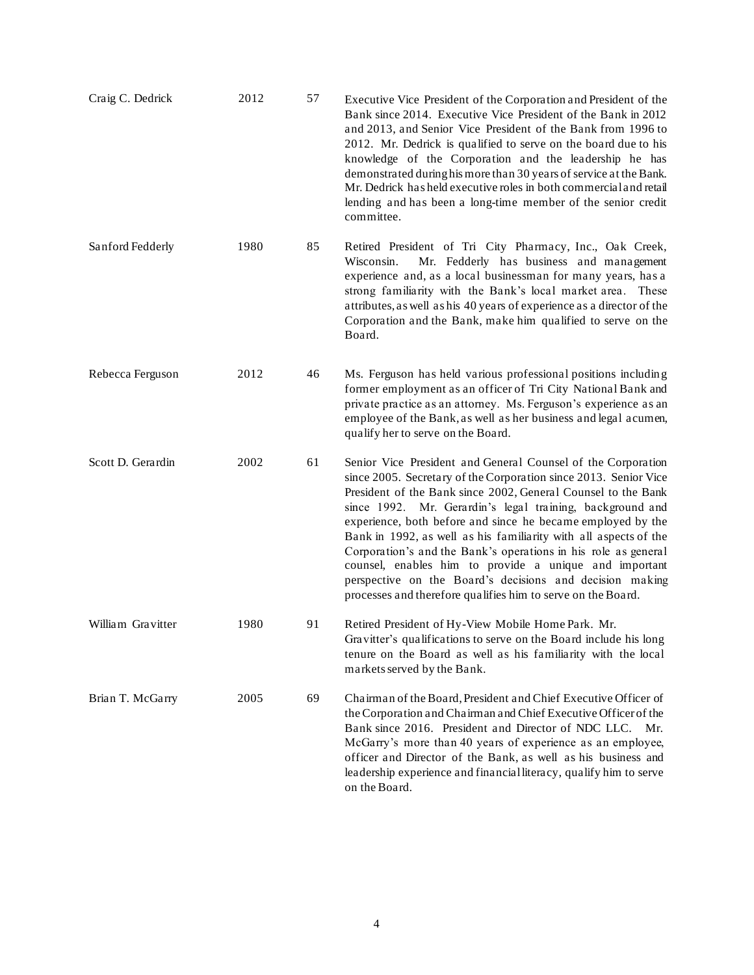| Craig C. Dedrick  | 2012 | 57 | Executive Vice President of the Corporation and President of the<br>Bank since 2014. Executive Vice President of the Bank in 2012<br>and 2013, and Senior Vice President of the Bank from 1996 to<br>2012. Mr. Dedrick is qualified to serve on the board due to his<br>knowledge of the Corporation and the leadership he has<br>demonstrated during his more than 30 years of service at the Bank.<br>Mr. Dedrick has held executive roles in both commercial and retail<br>lending and has been a long-time member of the senior credit<br>committee.                                                                                                  |
|-------------------|------|----|-----------------------------------------------------------------------------------------------------------------------------------------------------------------------------------------------------------------------------------------------------------------------------------------------------------------------------------------------------------------------------------------------------------------------------------------------------------------------------------------------------------------------------------------------------------------------------------------------------------------------------------------------------------|
| Sanford Fedderly  | 1980 | 85 | Retired President of Tri City Pharmacy, Inc., Oak Creek,<br>Mr. Fedderly has business and management<br>Wisconsin.<br>experience and, as a local businessman for many years, has a<br>strong familiarity with the Bank's local market area. These<br>attributes, as well as his 40 years of experience as a director of the<br>Corporation and the Bank, make him qualified to serve on the<br>Board.                                                                                                                                                                                                                                                     |
| Rebecca Ferguson  | 2012 | 46 | Ms. Ferguson has held various professional positions including<br>former employment as an officer of Tri City National Bank and<br>private practice as an attorney. Ms. Ferguson's experience as an<br>employee of the Bank, as well as her business and legal acumen,<br>qualify her to serve on the Board.                                                                                                                                                                                                                                                                                                                                              |
| Scott D. Gerardin | 2002 | 61 | Senior Vice President and General Counsel of the Corporation<br>since 2005. Secretary of the Corporation since 2013. Senior Vice<br>President of the Bank since 2002, General Counsel to the Bank<br>since 1992. Mr. Gerardin's legal training, background and<br>experience, both before and since he became employed by the<br>Bank in 1992, as well as his familiarity with all aspects of the<br>Corporation's and the Bank's operations in his role as general<br>counsel, enables him to provide a unique and important<br>perspective on the Board's decisions and decision making<br>processes and therefore qualifies him to serve on the Board. |
| William Gravitter | 1980 | 91 | Retired President of Hy-View Mobile Home Park. Mr.<br>Gravitter's qualifications to serve on the Board include his long<br>tenure on the Board as well as his familiarity with the local<br>markets served by the Bank.                                                                                                                                                                                                                                                                                                                                                                                                                                   |
| Brian T. McGarry  | 2005 | 69 | Chairman of the Board, President and Chief Executive Officer of<br>the Corporation and Chairman and Chief Executive Officer of the<br>Bank since 2016. President and Director of NDC LLC. Mr.<br>McGarry's more than 40 years of experience as an employee,<br>officer and Director of the Bank, as well as his business and<br>leadership experience and financial literacy, qualify him to serve<br>on the Board.                                                                                                                                                                                                                                       |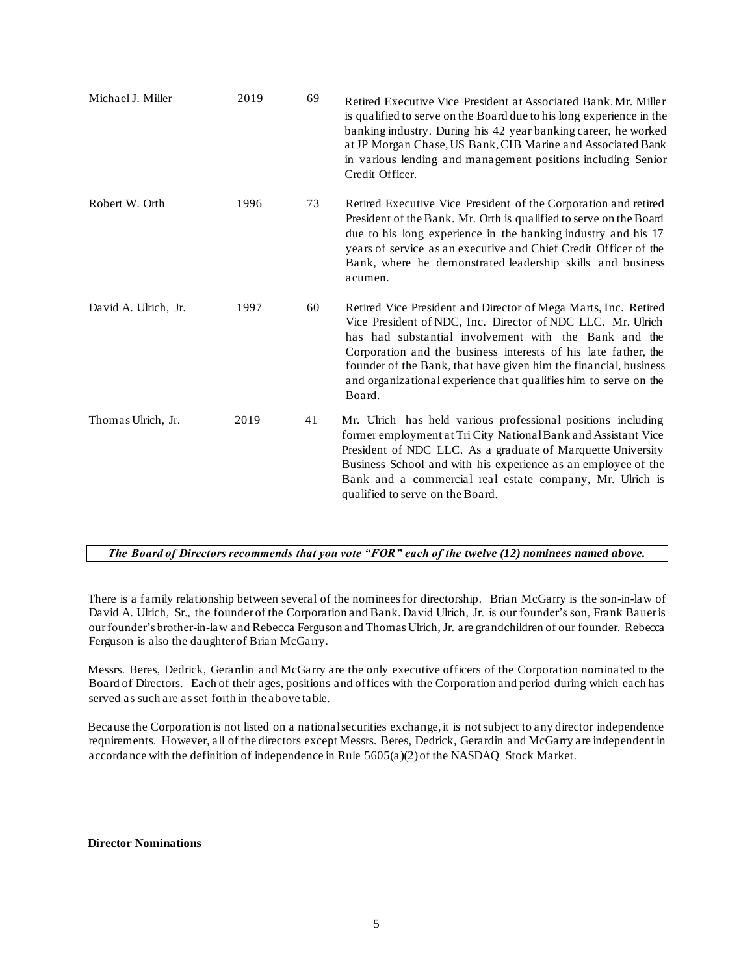| Michael J. Miller    | 2019 | 69 | Retired Executive Vice President at Associated Bank. Mr. Miller<br>is qualified to serve on the Board due to his long experience in the<br>banking industry. During his 42 year banking career, he worked<br>at JP Morgan Chase, US Bank, CIB Marine and Associated Bank<br>in various lending and management positions including Senior<br>Credit Officer.                                                 |
|----------------------|------|----|-------------------------------------------------------------------------------------------------------------------------------------------------------------------------------------------------------------------------------------------------------------------------------------------------------------------------------------------------------------------------------------------------------------|
| Robert W. Orth       | 1996 | 73 | Retired Executive Vice President of the Corporation and retired<br>President of the Bank. Mr. Orth is qualified to serve on the Board<br>due to his long experience in the banking industry and his 17<br>years of service as an executive and Chief Credit Officer of the<br>Bank, where he demonstrated leadership skills and business<br>acumen.                                                         |
| David A. Ulrich, Jr. | 1997 | 60 | Retired Vice President and Director of Mega Marts, Inc. Retired<br>Vice President of NDC, Inc. Director of NDC LLC. Mr. Ulrich<br>has had substantial involvement with the Bank and the<br>Corporation and the business interests of his late father, the<br>founder of the Bank, that have given him the financial, business<br>and organizational experience that qualifies him to serve on the<br>Board. |
| Thomas Ulrich, Jr.   | 2019 | 41 | Mr. Ulrich has held various professional positions including<br>former employment at Tri City National Bank and Assistant Vice<br>President of NDC LLC. As a graduate of Marquette University<br>Business School and with his experience as an employee of the<br>Bank and a commercial real estate company, Mr. Ulrich is<br>qualified to serve on the Board.                                              |

## *The Board of Directors recommends that you vote "FOR" each of the twelve (12) nominees named above.*

There is a family relationship between several of the nominees for directorship. Brian McGarry is the son-in-law of David A. Ulrich, Sr., the founder of the Corporation and Bank. David Ulrich, Jr. is our founder's son, Frank Bauer is ourfounder's brother-in-law and Rebecca Ferguson and Thomas Ulrich, Jr. are grandchildren of our founder. Rebecca Ferguson is also the daughter of Brian McGarry.

Messrs. Beres, Dedrick, Gerardin and McGarry are the only executive officers of the Corporation nominated to the Board of Directors. Each of their ages, positions and offices with the Corporation and period during which each has served as such are as set forth in the above table.

Because the Corporation is not listed on a national securities exchange, it is not subject to any director independence requirements. However, all of the directors except Messrs. Beres, Dedrick, Gerardin and McGarry are independent in accordance with the definition of independence in Rule 5605(a)(2) of the NASDAQ Stock Market.

### **Director Nominations**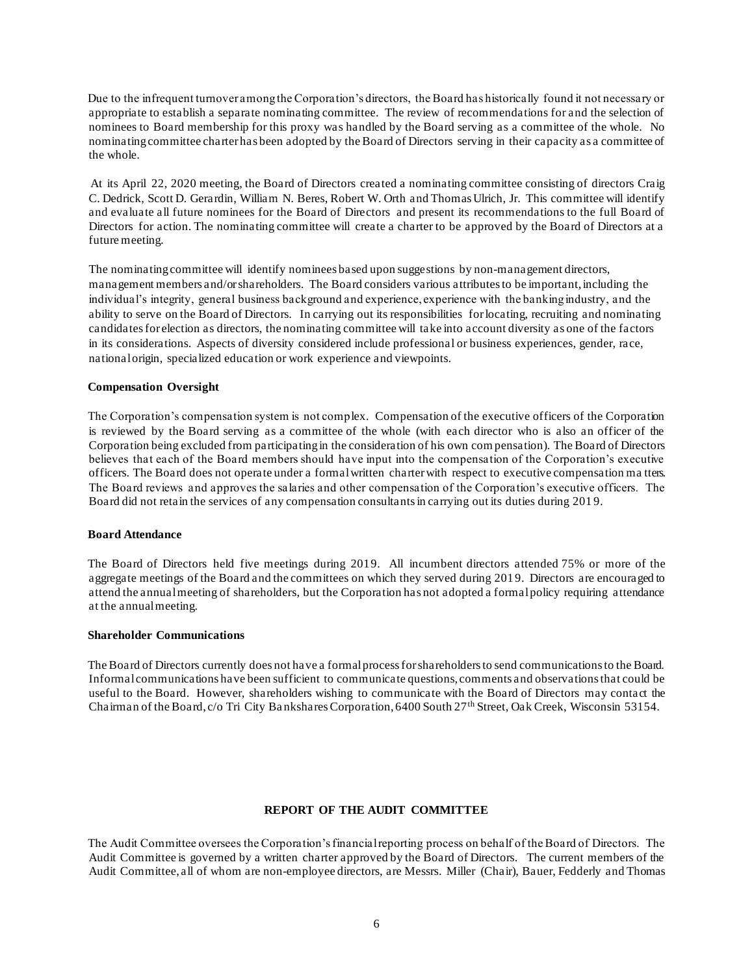Due to the infrequent turnover among the Corporation's directors, the Board has historically found it not necessary or appropriate to establish a separate nominating committee. The review of recommendations for and the selection of nominees to Board membership for this proxy was handled by the Board serving as a committee of the whole. No nominating committee charter has been adopted by the Board of Directors serving in their capacity as a committee of the whole.

At its April 22, 2020 meeting, the Board of Directors created a nominating committee consisting of directors Craig C. Dedrick, Scott D. Gerardin, William N. Beres, Robert W. Orth and Thomas Ulrich, Jr. This committee will identify and evaluate all future nominees for the Board of Directors and present its recommendations to the full Board of Directors for action. The nominating committee will create a charter to be approved by the Board of Directors at a future meeting.

The nominating committee will identify nominees based upon suggestions by non-management directors, management members and/or shareholders. The Board considers various attributes to be important, including the individual's integrity, general business background and experience, experience with the banking industry, and the ability to serve on the Board of Directors. In carrying out its responsibilities for locating, recruiting and nominating candidates for election as directors, the nominating committee will take into account diversity as one of the factors in its considerations. Aspects of diversity considered include professional or business experiences, gender, race, national origin, specialized education or work experience and viewpoints.

### **Compensation Oversight**

The Corporation's compensation system is not complex. Compensation of the executive officers of the Corporation is reviewed by the Board serving as a committee of the whole (with each director who is also an officer of the Corporation being excluded from participating in the consideration of his own com pensation). The Board of Directors believes that each of the Board members should have input into the compensation of the Corporation's executive officers. The Board does not operate under a formal written charter with respect to executive compensation ma tters. The Board reviews and approves the salaries and other compensation of the Corporation's executive officers. The Board did not retain the services of any compensation consultants in carrying out its duties during 201 9.

#### **Board Attendance**

The Board of Directors held five meetings during 2019. All incumbent directors attended 75% or more of the aggregate meetings of the Board and the committees on which they served during 201 9. Directors are encouraged to attend the annual meeting of shareholders, but the Corporation has not adopted a formal policy requiring attendance at the annual meeting.

### **Shareholder Communications**

The Board of Directors currently does not have a formal process for shareholders to send communications to the Board. Informal communications have been sufficient to communicate questions, comments and observations that could be useful to the Board. However, shareholders wishing to communicate with the Board of Directors may contact the Chairman of the Board, c/o Tri City Ba nkshares Corporation, 6400 South 27th Street, Oak Creek, Wisconsin 53154.

#### **REPORT OF THE AUDIT COMMITTEE**

The Audit Committee oversees the Corporation's financial reporting process on behalf of the Board of Directors. The Audit Committee is governed by a written charter approved by the Board of Directors. The current members of the Audit Committee, all of whom are non-employee directors, are Messrs. Miller (Chair), Bauer, Fedderly and Thomas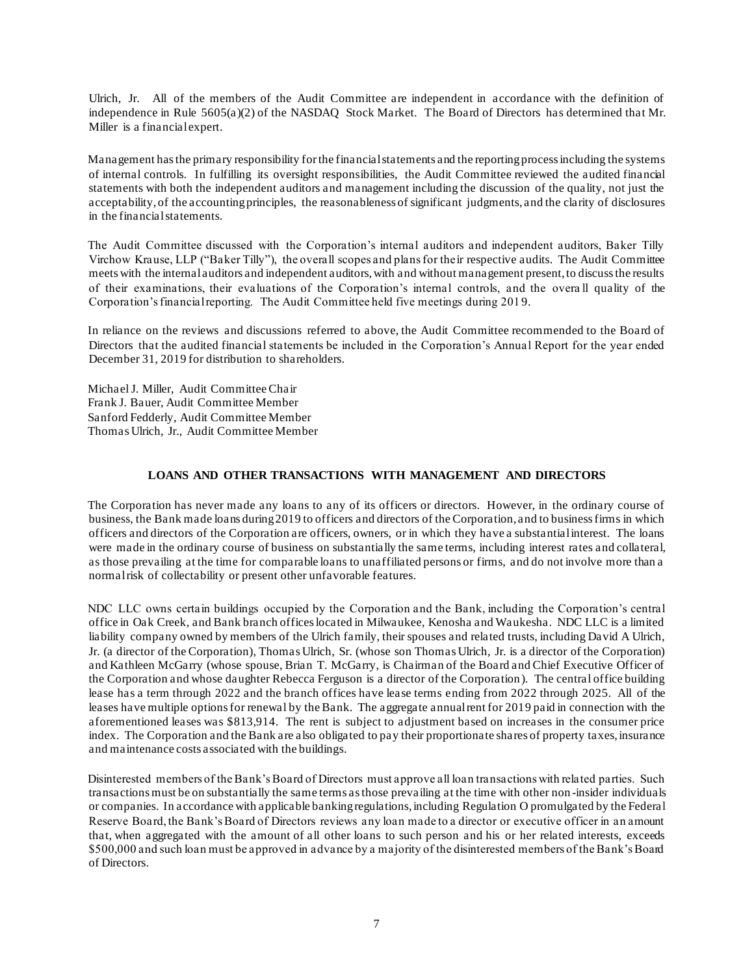Ulrich, Jr. All of the members of the Audit Committee are independent in accordance with the definition of independence in Rule 5605(a)(2) of the NASDAQ Stock Market. The Board of Directors has determined that Mr. Miller is a financial expert.

Management has the primary responsibility for the financial statements and the reporting process including the systems of internal controls. In fulfilling its oversight responsibilities, the Audit Committee reviewed the audited financial statements with both the independent auditors and management including the discussion of the quality, not just the acceptability, of the accounting principles, the reasonableness of significant judgments, and the clarity of disclosures in the financial statements.

The Audit Committee discussed with the Corporation's internal auditors and independent auditors, Baker Tilly Virchow Krause, LLP ("Baker Tilly"), the overall scopes and plans for their respective audits. The Audit Committee meets with the internal auditors and independent auditors, with and without management present, to discuss the results of their examinations, their evaluations of the Corporation's internal controls, and the overa ll quality of the Corporation's financial reporting. The Audit Committee held five meetings during 201 9.

In reliance on the reviews and discussions referred to above, the Audit Committee recommended to the Board of Directors that the audited financial statements be included in the Corporation's Annual Report for the year ended December 31, 2019 for distribution to shareholders.

Michael J. Miller, Audit Committee Chair Frank J. Bauer, Audit Committee Member Sanford Fedderly, Audit Committee Member Thomas Ulrich, Jr., Audit Committee Member

### **LOANS AND OTHER TRANSACTIONS WITH MANAGEMENT AND DIRECTORS**

The Corporation has never made any loans to any of its officers or directors. However, in the ordinary course of business, the Bank made loans during 2019 to officers and directors of the Corporation, and to business firms in which officers and directors of the Corporation are officers, owners, or in which they have a substantial interest. The loans were made in the ordinary course of business on substantially the same terms, including interest rates and collateral, as those prevailing at the time for comparable loans to unaffiliated persons or firms, and do not involve more than a normal risk of collectability or present other unfavorable features.

NDC LLC owns certain buildings occupied by the Corporation and the Bank, including the Corporation's central office in Oak Creek, and Bank branch offices located in Milwaukee, Kenosha and Waukesha. NDC LLC is a limited liability company owned by members of the Ulrich family, their spouses and related trusts, including David A Ulrich, Jr. (a director of the Corporation), Thomas Ulrich, Sr. (whose son Thomas Ulrich, Jr. is a director of the Corporation) and Kathleen McGarry (whose spouse, Brian T. McGarry, is Chairman of the Board and Chief Executive Officer of the Corporation and whose daughter Rebecca Ferguson is a director of the Corporation). The central office building lease has a term through 2022 and the branch offices have lease terms ending from 2022 through 2025. All of the leases have multiple options for renewal by the Bank. The aggregate annual rent for 2019 paid in connection with the aforementioned leases was \$813,914. The rent is subject to adjustment based on increases in the consumer price index. The Corporation and the Bank are also obligated to pay their proportionate shares of property taxes, insurance and maintenance costs associated with the buildings.

Disinterested members of the Bank's Board of Directors must approve all loan transactions with related parties. Such transactions must be on substantially the same terms as those prevailing at the time with other non -insider individuals or companies. In a ccordance with applicable banking regulations, including Regulation O promulgated by the Federal Reserve Board, the Bank's Board of Directors reviews any loan made to a director or executive officer in an amount that, when aggregated with the amount of all other loans to such person and his or her related interests, exceeds \$500,000 and such loan must be approved in advance by a majority of the disinterested members of the Bank's Board of Directors.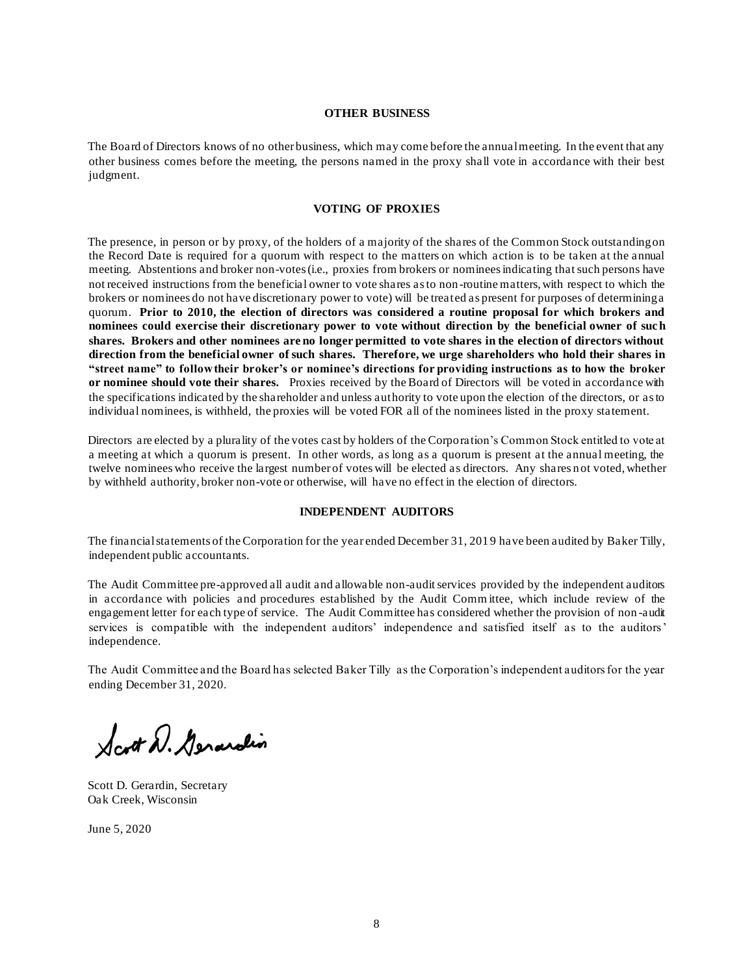#### **OTHER BUSINESS**

The Board of Directors knows of no other business, which may come before the annual meeting. In the event that any other business comes before the meeting, the persons named in the proxy shall vote in accordance with their best judgment.

#### **VOTING OF PROXIES**

The presence, in person or by proxy, of the holders of a majority of the shares of the Common Stock outstanding on the Record Date is required for a quorum with respect to the matters on which action is to be taken at the annual meeting. Abstentions and broker non-votes (i.e., proxies from brokers or nominees indicating that such persons have not received instructions from the beneficial owner to vote shares as to non-routine matters, with respect to which the brokers or nominees do not have discretionary power to vote) will be treated as present for purposes of determining a quorum. **Prior to 2010, the election of directors was considered a routine proposal for which brokers and nominees could exercise their discretionary power to vote without direction by the beneficial owner of such shares. Brokers and other nominees are no longer permitted to vote shares in the election of directors without direction from the beneficial owner of such shares. Therefore, we urge shareholders who hold their shares in "street name" to follow their broker's or nominee's directions for providing instructions as to how the broker or nominee should vote their shares.** Proxies received by the Board of Directors will be voted in accordance with the specifications indicated by the shareholder and unless authority to vote upon the election of the directors, or as to individual nominees, is withheld, the proxies will be voted FOR all of the nominees listed in the proxy statement.

Directors are elected by a plurality of the votes cast by holders of the Corporation's Common Stock entitled to vote at a meeting at which a quorum is present. In other words, as long as a quorum is present at the annual meeting, the twelve nominees who receive the largest number of votes will be elected as directors. Any shares n ot voted, whether by withheld authority, broker non-vote or otherwise, will have no effect in the election of directors.

### **INDEPENDENT AUDITORS**

The financial statements of the Corporation for the year ended December 31, 201 9 have been audited by Baker Tilly, independent public accountants.

The Audit Committee pre-approved all audit and allowable non-audit services provided by the independent auditors in accordance with policies and procedures established by the Audit Comm ittee, which include review of the engagement letter for each type of service. The Audit Committee has considered whether the provision of non -audit services is compatible with the independent auditors' independence and satisfied itself as to the auditors' independence.

The Audit Committee and the Board has selected Baker Tilly as the Corporation's independent auditors for the year ending December 31, 2020.

Scott D. Generalin

Scott D. Gerardin, Secretary Oak Creek, Wisconsin

June 5, 2020